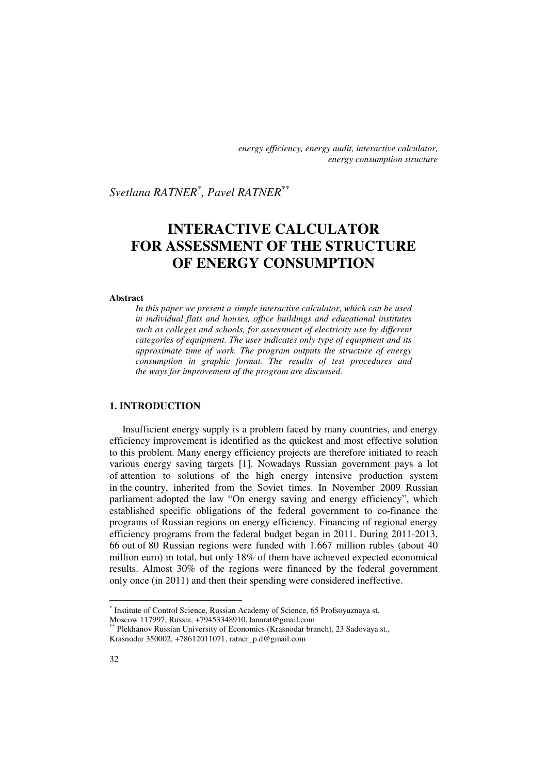*energy efficiency, energy audit, interactive calculator, energy consumption structure* 

*Svetlana RATNER\* , Pavel RATNER\*\** 

# **INTERACTIVE CALCULATOR FOR ASSESSMENT OF THE STRUCTURE OF ENERGY CONSUMPTION**

#### **Abstract**

*In this paper we present a simple interactive calculator, which can be used in individual flats and houses, office buildings and educational institutes such as colleges and schools, for assessment of electricity use by different categories of equipment. The user indicates only type of equipment and its approximate time of work. The program outputs the structure of energy consumption in graphic format. The results of test procedures and the ways for improvement of the program are discussed.* 

### **1. INTRODUCTION**

Insufficient energy supply is a problem faced by many countries, and energy efficiency improvement is identified as the quickest and most effective solution to this problem. Many energy efficiency projects are therefore initiated to reach various energy saving targets [1]. Nowadays Russian government pays a lot of attention to solutions of the high energy intensive production system in the country, inherited from the Soviet times. In November 2009 Russian parliament adopted the law "On energy saving and energy efficiency", which established specific obligations of the federal government to co-finance the programs of Russian regions on energy efficiency. Financing of regional energy efficiency programs from the federal budget began in 2011. During 2011-2013, 66 out of 80 Russian regions were funded with 1.667 million rubles (about 40 million euro) in total, but only 18% of them have achieved expected economical results. Almost 30% of the regions were financed by the federal government only once (in 2011) and then their spending were considered ineffective.

l

<sup>\*</sup> Institute of Control Science, Russian Academy of Science, 65 Profsoyuznaya st. Moscow 117997, Russia, +79453348910, lanarat@gmail.com

<sup>\*\*\*</sup> Plekhanov Russian University of Economics (Krasnodar branch), 23 Sadovaya st., Krasnodar 350002, +78612011071, ratner\_p.d@gmail.com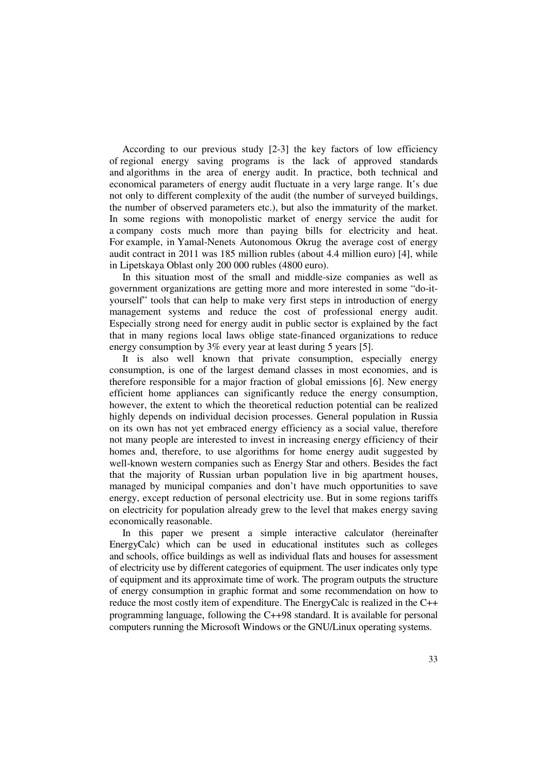According to our previous study [2-3] the key factors of low efficiency of regional energy saving programs is the lack of approved standards and algorithms in the area of energy audit. In practice, both technical and economical parameters of energy audit fluctuate in a very large range. It's due not only to different complexity of the audit (the number of surveyed buildings, the number of observed parameters etc.), but also the immaturity of the market. In some regions with monopolistic market of energy service the audit for a company costs much more than paying bills for electricity and heat. For example, in Yamal-Nenets Autonomous Okrug the average cost of energy audit contract in 2011 was 185 million rubles (about 4.4 million euro) [4], while in Lipetskaya Oblast only 200 000 rubles (4800 euro).

In this situation most of the small and middle-size companies as well as government organizations are getting more and more interested in some "do-ityourself" tools that can help to make very first steps in introduction of energy management systems and reduce the cost of professional energy audit. Especially strong need for energy audit in public sector is explained by the fact that in many regions local laws oblige state-financed organizations to reduce energy consumption by 3% every year at least during 5 years [5].

It is also well known that private consumption, especially energy consumption, is one of the largest demand classes in most economies, and is therefore responsible for a major fraction of global emissions [6]. New energy efficient home appliances can significantly reduce the energy consumption, however, the extent to which the theoretical reduction potential can be realized highly depends on individual decision processes. General population in Russia on its own has not yet embraced energy efficiency as a social value, therefore not many people are interested to invest in increasing energy efficiency of their homes and, therefore, to use algorithms for home energy audit suggested by well-known western companies such as Energy Star and others. Besides the fact that the majority of Russian urban population live in big apartment houses, managed by municipal companies and don't have much opportunities to save energy, except reduction of personal electricity use. But in some regions tariffs on electricity for population already grew to the level that makes energy saving economically reasonable.

In this paper we present a simple interactive calculator (hereinafter EnergyCalc) which can be used in educational institutes such as colleges and schools, office buildings as well as individual flats and houses for assessment of electricity use by different categories of equipment. The user indicates only type of equipment and its approximate time of work. The program outputs the structure of energy consumption in graphic format and some recommendation on how to reduce the most costly item of expenditure. The EnergyCalc is realized in the C++ programming language, following the C++98 standard. It is available for personal computers running the Microsoft Windows or the GNU/Linux operating systems.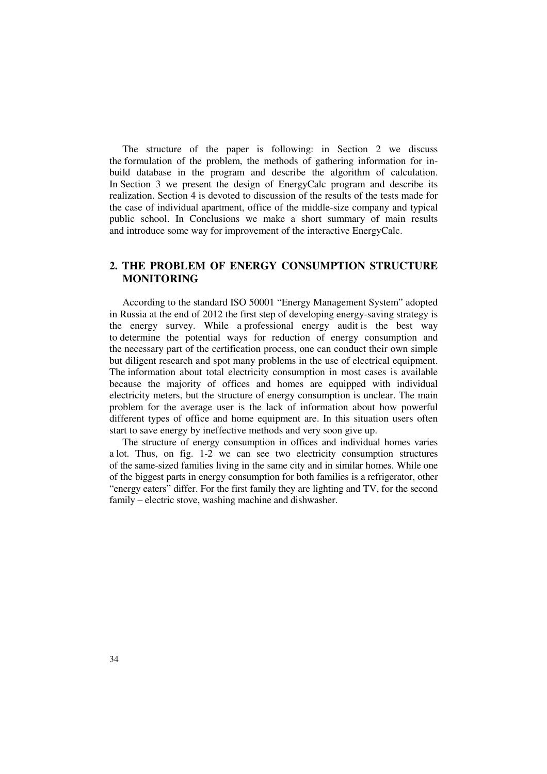The structure of the paper is following: in Section 2 we discuss the formulation of the problem, the methods of gathering information for inbuild database in the program and describe the algorithm of calculation. In Section 3 we present the design of EnergyCalc program and describe its realization. Section 4 is devoted to discussion of the results of the tests made for the case of individual apartment, office of the middle-size company and typical public school. In Conclusions we make a short summary of main results and introduce some way for improvement of the interactive EnergyCalc.

# **2. THE PROBLEM OF ENERGY CONSUMPTION STRUCTURE MONITORING**

According to the standard ISO 50001 "Energy Management System" adopted in Russia at the end of 2012 the first step of developing energy-saving strategy is the energy survey. While a professional energy audit is the best way to determine the potential ways for reduction of energy consumption and the necessary part of the certification process, one can conduct their own simple but diligent research and spot many problems in the use of electrical equipment. The information about total electricity consumption in most cases is available because the majority of offices and homes are equipped with individual electricity meters, but the structure of energy consumption is unclear. The main problem for the average user is the lack of information about how powerful different types of office and home equipment are. In this situation users often start to save energy by ineffective methods and very soon give up.

The structure of energy consumption in offices and individual homes varies a lot. Thus, on fig. 1-2 we can see two electricity consumption structures of the same-sized families living in the same city and in similar homes. While one of the biggest parts in energy consumption for both families is a refrigerator, other "energy eaters" differ. For the first family they are lighting and TV, for the second family – electric stove, washing machine and dishwasher.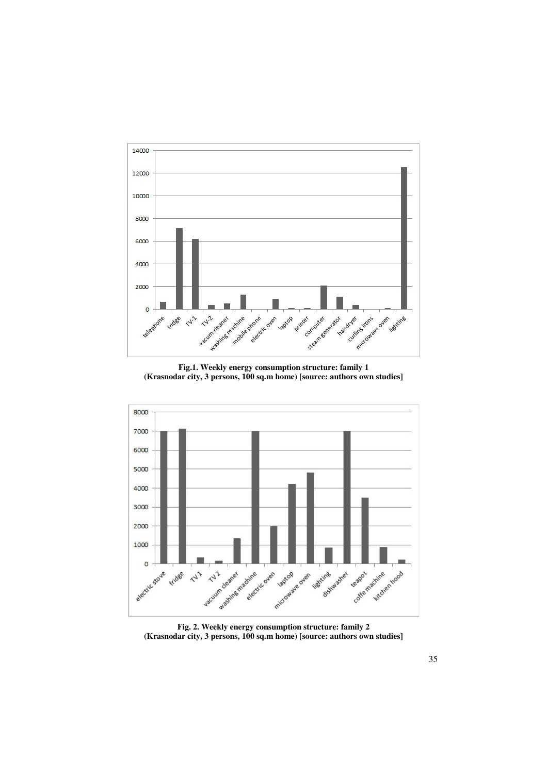

**Fig.1. Weekly energy consumption structure: family 1 (Krasnodar city, 3 persons, 100 sq.m home) [source: authors own studies]** 



**Fig. 2. Weekly energy consumption structure: family 2 (Krasnodar city, 3 persons, 100 sq.m home) [source: authors own studies]**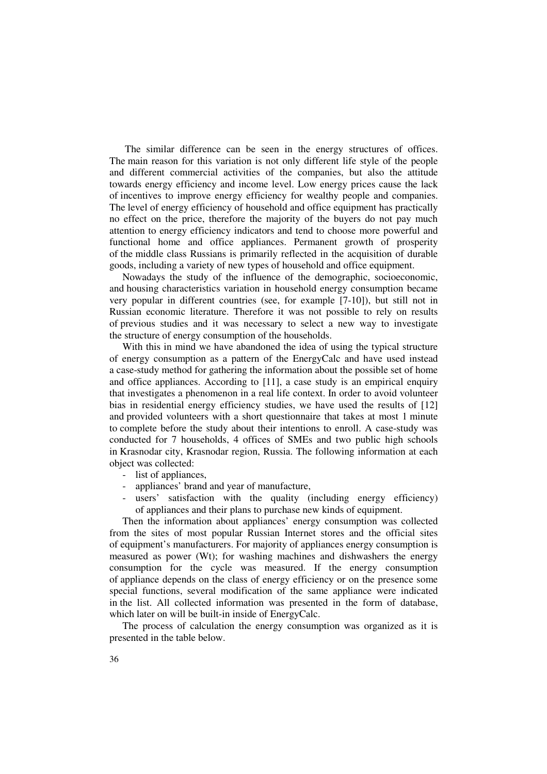The similar difference can be seen in the energy structures of offices. The main reason for this variation is not only different life style of the people and different commercial activities of the companies, but also the attitude towards energy efficiency and income level. Low energy prices cause the lack of incentives to improve energy efficiency for wealthy people and companies. The level of energy efficiency of household and office equipment has practically no effect on the price, therefore the majority of the buyers do not pay much attention to energy efficiency indicators and tend to choose more powerful and functional home and office appliances. Permanent growth of prosperity of the middle class Russians is primarily reflected in the acquisition of durable goods, including a variety of new types of household and office equipment.

Nowadays the study of the influence of the demographic, socioeconomic, and housing characteristics variation in household energy consumption became very popular in different countries (see, for example [7-10]), but still not in Russian economic literature. Therefore it was not possible to rely on results of previous studies and it was necessary to select a new way to investigate the structure of energy consumption of the households.

With this in mind we have abandoned the idea of using the typical structure of energy consumption as a pattern of the EnergyCalc and have used instead a case-study method for gathering the information about the possible set of home and office appliances. According to [11], a case study is an empirical enquiry that investigates a phenomenon in a real life context. In order to avoid volunteer bias in residential energy efficiency studies, we have used the results of [12] and provided volunteers with a short questionnaire that takes at most 1 minute to complete before the study about their intentions to enroll. A case-study was conducted for 7 households, 4 offices of SMEs and two public high schools in Krasnodar city, Krasnodar region, Russia. The following information at each object was collected:

- list of appliances,
- appliances' brand and year of manufacture,
- users' satisfaction with the quality (including energy efficiency) of appliances and their plans to purchase new kinds of equipment.

Then the information about appliances' energy consumption was collected from the sites of most popular Russian Internet stores and the official sites of equipment's manufacturers. For majority of appliances energy consumption is measured as power (Wt); for washing machines and dishwashers the energy consumption for the cycle was measured. If the energy consumption of appliance depends on the class of energy efficiency or on the presence some special functions, several modification of the same appliance were indicated in the list. All collected information was presented in the form of database, which later on will be built-in inside of EnergyCalc.

The process of calculation the energy consumption was organized as it is presented in the table below.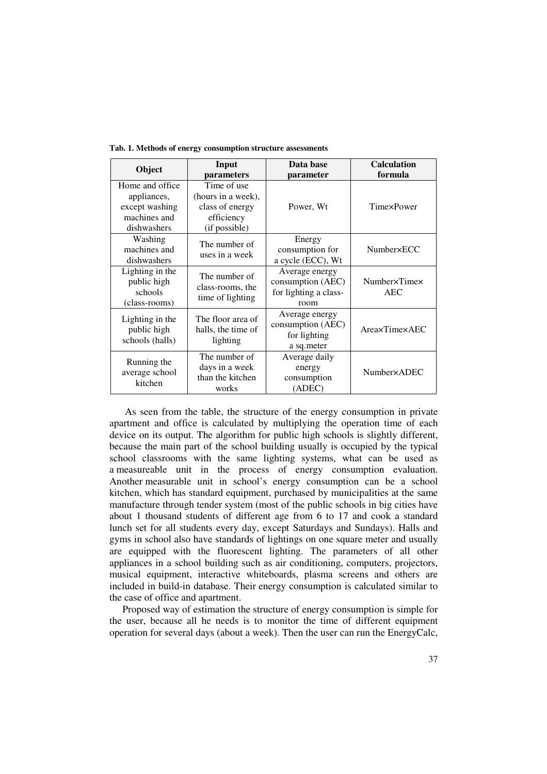| Object                                                                           | Input<br>parameters                                                                 | Data base<br>parameter                                               | <b>Calculation</b><br>formula |  |
|----------------------------------------------------------------------------------|-------------------------------------------------------------------------------------|----------------------------------------------------------------------|-------------------------------|--|
| Home and office.<br>appliances,<br>except washing<br>machines and<br>dishwashers | Time of use<br>(hours in a week),<br>class of energy<br>efficiency<br>(if possible) | Power, Wt                                                            | TimexPower                    |  |
| Washing<br>machines and<br>dishwashers                                           | The number of<br>uses in a week                                                     |                                                                      | Number×ECC                    |  |
| Lighting in the<br>public high<br>schools<br>(class-rooms)                       | The number of<br>class-rooms, the<br>time of lighting                               | Average energy<br>consumption (AEC)<br>for lighting a class-<br>room | Number×Time×<br><b>AEC</b>    |  |
| Lighting in the<br>public high<br>schools (halls)                                | The floor area of<br>halls, the time of<br>lighting                                 | Average energy<br>consumption (AEC)<br>for lighting<br>a sq.meter    | AreaxTimexAEC                 |  |
| Running the<br>average school<br>kitchen                                         | The number of<br>days in a week<br>than the kitchen<br>works                        | Average daily<br>energy<br>consumption<br>(ADEC)                     | <b>Number×ADEC</b>            |  |

**Tab. 1. Methods of energy consumption structure assessments** 

 As seen from the table, the structure of the energy consumption in private apartment and office is calculated by multiplying the operation time of each device on its output. The algorithm for public high schools is slightly different, because the main part of the school building usually is occupied by the typical school classrooms with the same lighting systems, what can be used as a measureable unit in the process of energy consumption evaluation. Another measurable unit in school's energy consumption can be a school kitchen, which has standard equipment, purchased by municipalities at the same manufacture through tender system (most of the public schools in big cities have about 1 thousand students of different age from 6 to 17 and cook a standard lunch set for all students every day, except Saturdays and Sundays). Halls and gyms in school also have standards of lightings on one square meter and usually are equipped with the fluorescent lighting. The parameters of all other appliances in a school building such as air conditioning, computers, projectors, musical equipment, interactive whiteboards, plasma screens and others are included in build-in database. Their energy consumption is calculated similar to the case of office and apartment.

Proposed way of estimation the structure of energy consumption is simple for the user, because all he needs is to monitor the time of different equipment operation for several days (about a week). Then the user can run the EnergyCalc,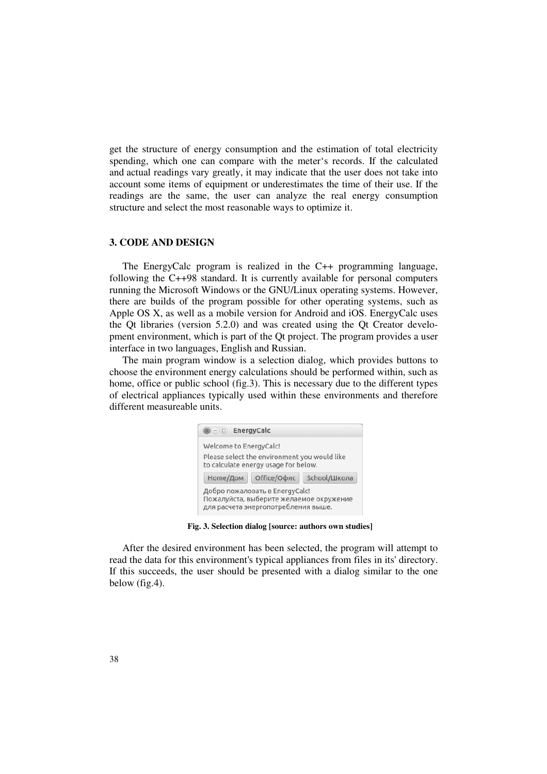get the structure of energy consumption and the estimation of total electricity spending, which one can compare with the meter's records. If the calculated and actual readings vary greatly, it may indicate that the user does not take into account some items of equipment or underestimates the time of their use. If the readings are the same, the user can analyze the real energy consumption structure and select the most reasonable ways to optimize it.

#### **3. CODE AND DESIGN**

The EnergyCalc program is realized in the C++ programming language, following the C++98 standard. It is currently available for personal computers running the Microsoft Windows or the GNU/Linux operating systems. However, there are builds of the program possible for other operating systems, such as Apple OS X, as well as a mobile version for Android and iOS. EnergyCalc uses the Qt libraries (version 5.2.0) and was created using the Qt Creator development environment, which is part of the Qt project. The program provides a user interface in two languages, English and Russian.

The main program window is a selection dialog, which provides buttons to choose the environment energy calculations should be performed within, such as home, office or public school (fig.3). This is necessary due to the different types of electrical appliances typically used within these environments and therefore different measureable units.



**Fig. 3. Selection dialog [source: authors own studies]**

After the desired environment has been selected, the program will attempt to read the data for this environment's typical appliances from files in its' directory. If this succeeds, the user should be presented with a dialog similar to the one below (fig.4).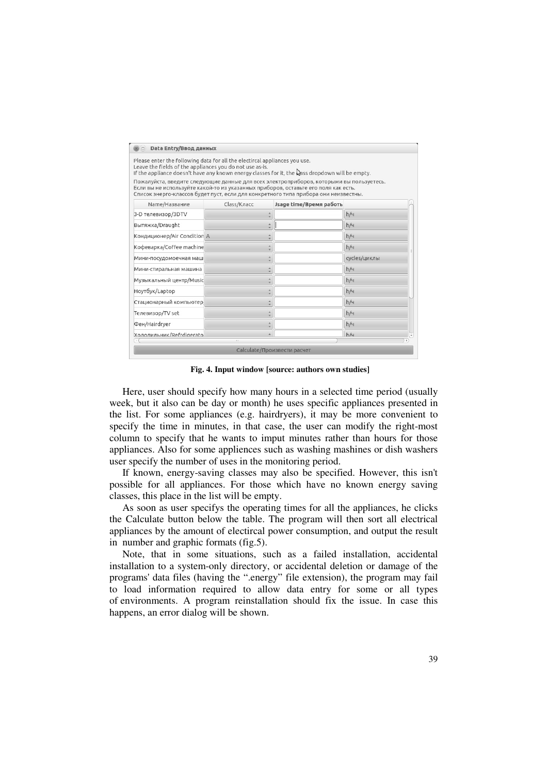| Please enter the following data for all the electircal appliances you use.<br>Leave the fields of the appliances you do not use as-is.<br>If the appliance doesn't have any known energy classes for it, the wass dropdown will be empty.                            |             |                         |              |
|----------------------------------------------------------------------------------------------------------------------------------------------------------------------------------------------------------------------------------------------------------------------|-------------|-------------------------|--------------|
| Пожалуйста, введите следующие данные для всех электроприборов, которыми вы пользуетесь.<br>Если вы не используйте какой-то из указанных приборов, оставьте его поля как есть.<br>Список энерго-классов будет пуст, если для конкретного типа прибора они неизвестны. |             |                         |              |
| Name/Название                                                                                                                                                                                                                                                        | Class/Класс | Jsage time/Время работь |              |
| 3-D телевизор/3DTV                                                                                                                                                                                                                                                   |             |                         | h/4          |
| Вытяжка/Draught                                                                                                                                                                                                                                                      |             |                         | h/4          |
| Кондиционер/Air Condition A                                                                                                                                                                                                                                          |             |                         | h/4          |
| Кофеварка/Coffee machine                                                                                                                                                                                                                                             |             |                         | h/4          |
| Мини-посудомоечная маш                                                                                                                                                                                                                                               |             |                         | cycles/циклы |
| Мини-стиральная машина                                                                                                                                                                                                                                               |             |                         | h/4          |
| Музыкальный центр/Music                                                                                                                                                                                                                                              |             |                         | h/4          |
| Ноутбук/Laptop                                                                                                                                                                                                                                                       |             |                         | h/4          |
| Стационарный компьютер                                                                                                                                                                                                                                               |             |                         | h/4          |
| Телевизор/TV set                                                                                                                                                                                                                                                     |             |                         | h/4          |
| Фен/Hairdryer                                                                                                                                                                                                                                                        |             |                         | h/4          |
| Хололильник/Refrdigerato                                                                                                                                                                                                                                             |             |                         | h/u          |

**Fig. 4. Input window [source: authors own studies]**

Here, user should specify how many hours in a selected time period (usually week, but it also can be day or month) he uses specific appliances presented in the list. For some appliances (e.g. hairdryers), it may be more convenient to specify the time in minutes, in that case, the user can modify the right-most column to specify that he wants to imput minutes rather than hours for those appliances. Also for some appliences such as washing mashines or dish washers user specify the number of uses in the monitoring period.

If known, energy-saving classes may also be specified. However, this isn't possible for all appliances. For those which have no known energy saving classes, this place in the list will be empty.

As soon as user specifys the operating times for all the appliances, he clicks the Calculate button below the table. The program will then sort all electrical appliances by the amount of electircal power consumption, and output the result in number and graphic formats (fig.5).

Note, that in some situations, such as a failed installation, accidental installation to a system-only directory, or accidental deletion or damage of the programs' data files (having the ".energy" file extension), the program may fail to load information required to allow data entry for some or all types of environments. A program reinstallation should fix the issue. In case this happens, an error dialog will be shown.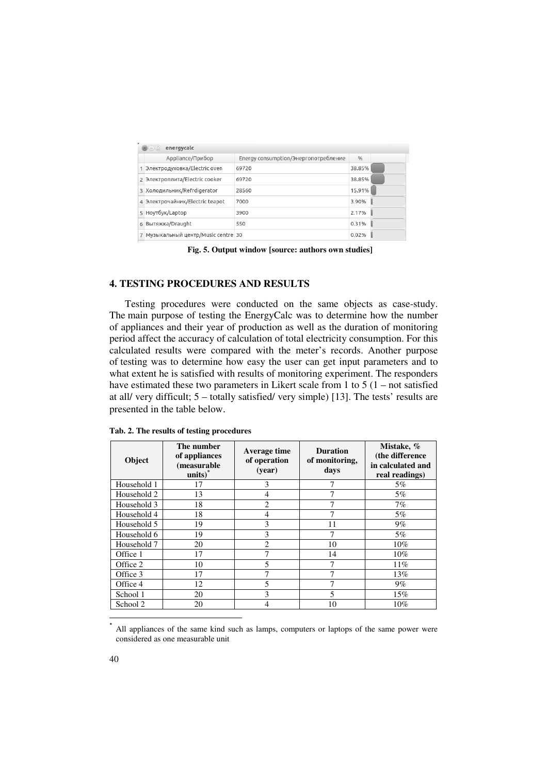| energycalc<br>$-)(\Box)$            |                                      |        |  |
|-------------------------------------|--------------------------------------|--------|--|
| Appliance/Прибор                    | Energy consumption/Энергопотребление | %      |  |
| 1 Электродуховка/Electric oven      | 69720                                | 38.85% |  |
| 2 Электроплита/Electric cooker      | 69720                                | 38.85% |  |
| 3 Холодильник/Refrdigerator         | 28560                                | 15.91% |  |
| 4 Электрочайник/Electric teapot     | 7000                                 | 3.90%  |  |
| 5 Ноутбук/Laptop                    | 3900                                 | 2.17%  |  |
| 6 Вытяжка/Draught                   | 550                                  | 0.31%  |  |
| 7 Музыкальный центр/Music centre 30 |                                      | 0.02%  |  |

**Fig. 5. Output window [source: authors own studies]**

## **4. TESTING PROCEDURES AND RESULTS**

 Testing procedures were conducted on the same objects as case-study. The main purpose of testing the EnergyCalc was to determine how the number of appliances and their year of production as well as the duration of monitoring period affect the accuracy of calculation of total electricity consumption. For this calculated results were compared with the meter's records. Another purpose of testing was to determine how easy the user can get input parameters and to what extent he is satisfied with results of monitoring experiment. The responders have estimated these two parameters in Likert scale from 1 to 5 (1 – not satisfied at all/ very difficult; 5 – totally satisfied/ very simple) [13]. The tests' results are presented in the table below.

| Object      | The number<br>of appliances<br>(measurable<br>$units)$ * | Average time<br>of operation<br>(year) | <b>Duration</b><br>of monitoring,<br>days | Mistake, %<br>(the difference<br>in calculated and<br>real readings) |
|-------------|----------------------------------------------------------|----------------------------------------|-------------------------------------------|----------------------------------------------------------------------|
| Household 1 | 17                                                       | 3                                      | 7                                         | 5%                                                                   |
| Household 2 | 13                                                       | $\overline{4}$                         | 7                                         | $5\%$                                                                |
| Household 3 | 18                                                       | 2                                      | 7                                         | $7\%$                                                                |
| Household 4 | 18                                                       | 4                                      | 7                                         | $5\%$                                                                |
| Household 5 | 19                                                       | 3                                      | 11                                        | 9%                                                                   |
| Household 6 | 19                                                       | 3                                      | 7                                         | 5%                                                                   |
| Household 7 | 20                                                       | $\overline{2}$                         | 10                                        | $10\%$                                                               |
| Office 1    | 17                                                       | 7                                      | 14                                        | $10\%$                                                               |
| Office 2    | 10                                                       | 5                                      |                                           | 11%                                                                  |
| Office 3    | 17                                                       |                                        | 7                                         | 13%                                                                  |
| Office 4    | 12                                                       | 5                                      | 7                                         | $9\%$                                                                |
| School 1    | 20                                                       | 3                                      | 5                                         | 15%                                                                  |
| School 2    | 20                                                       | $\overline{4}$                         | 10                                        | $10\%$                                                               |
|             |                                                          |                                        |                                           |                                                                      |

**Tab. 2. The results of testing procedures**

<sup>\*</sup> All appliances of the same kind such as lamps, computers or laptops of the same power were considered as one measurable unit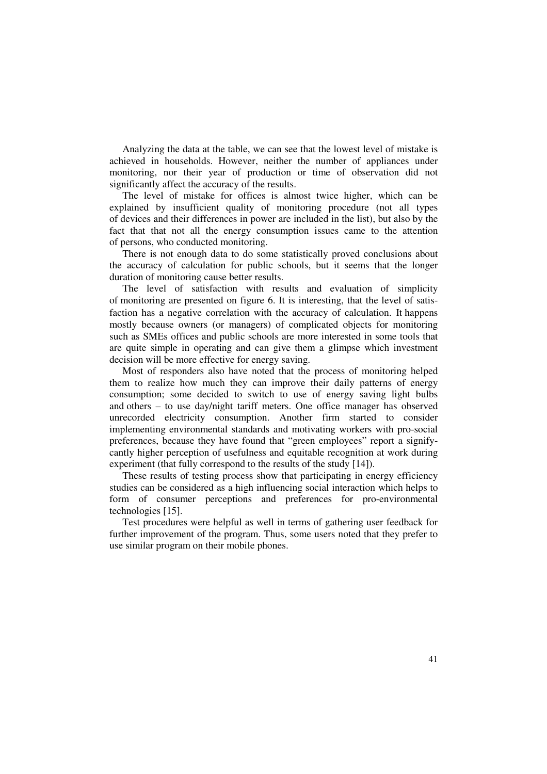Analyzing the data at the table, we can see that the lowest level of mistake is achieved in households. However, neither the number of appliances under monitoring, nor their year of production or time of observation did not significantly affect the accuracy of the results.

The level of mistake for offices is almost twice higher, which can be explained by insufficient quality of monitoring procedure (not all types of devices and their differences in power are included in the list), but also by the fact that that not all the energy consumption issues came to the attention of persons, who conducted monitoring.

There is not enough data to do some statistically proved conclusions about the accuracy of calculation for public schools, but it seems that the longer duration of monitoring cause better results.

The level of satisfaction with results and evaluation of simplicity of monitoring are presented on figure 6. It is interesting, that the level of satisfaction has a negative correlation with the accuracy of calculation. It happens mostly because owners (or managers) of complicated objects for monitoring such as SMEs offices and public schools are more interested in some tools that are quite simple in operating and can give them a glimpse which investment decision will be more effective for energy saving.

Most of responders also have noted that the process of monitoring helped them to realize how much they can improve their daily patterns of energy consumption; some decided to switch to use of energy saving light bulbs and others – to use day/night tariff meters. One office manager has observed unrecorded electricity consumption. Another firm started to consider implementing environmental standards and motivating workers with pro-social preferences, because they have found that "green employees" report a signifycantly higher perception of usefulness and equitable recognition at work during experiment (that fully correspond to the results of the study [14]).

These results of testing process show that participating in energy efficiency studies can be considered as a high influencing social interaction which helps to form of consumer perceptions and preferences for pro-environmental technologies [15].

Test procedures were helpful as well in terms of gathering user feedback for further improvement of the program. Thus, some users noted that they prefer to use similar program on their mobile phones.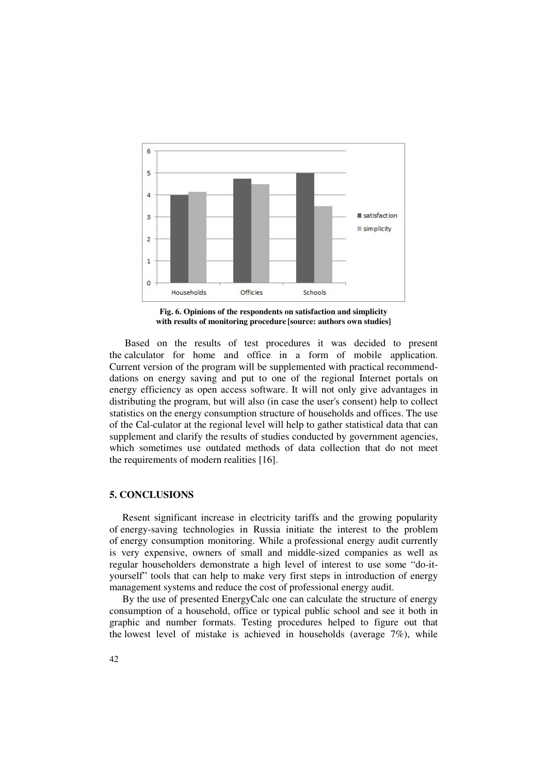

**Fig. 6. Opinions of the respondents on satisfaction and simplicity with results of monitoring procedure [source: authors own studies]** 

Based on the results of test procedures it was decided to present the calculator for home and office in a form of mobile application. Current version of the program will be supplemented with practical recommenddations on energy saving and put to one of the regional Internet portals on energy efficiency as open access software. It will not only give advantages in distributing the program, but will also (in case the user's consent) help to collect statistics on the energy consumption structure of households and offices. The use of the Cal-culator at the regional level will help to gather statistical data that can supplement and clarify the results of studies conducted by government agencies, which sometimes use outdated methods of data collection that do not meet the requirements of modern realities [16].

### **5. CONCLUSIONS**

Resent significant increase in electricity tariffs and the growing popularity of energy-saving technologies in Russia initiate the interest to the problem of energy consumption monitoring. While a professional energy audit currently is very expensive, owners of small and middle-sized companies as well as regular householders demonstrate a high level of interest to use some "do-ityourself" tools that can help to make very first steps in introduction of energy management systems and reduce the cost of professional energy audit.

By the use of presented EnergyCalc one can calculate the structure of energy consumption of a household, office or typical public school and see it both in graphic and number formats. Testing procedures helped to figure out that the lowest level of mistake is achieved in households (average  $7\%$ ), while